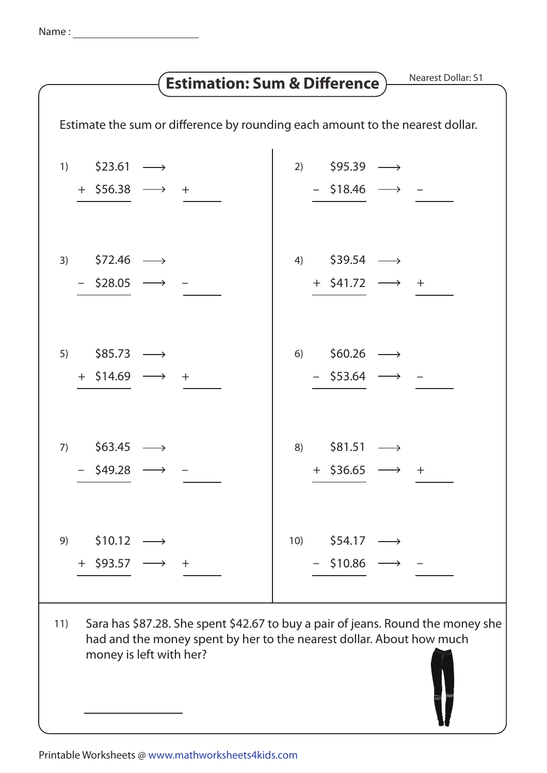## Nearest Dollar: S1 **Estimation: Sum & Difference** Estimate the sum or difference by rounding each amount to the nearest dollar.  $$23.61 $95.39$   $\longrightarrow$  $1)$  $2)$  $+$  \$56.38  $\longrightarrow$  +  $-$  \$18.46  $\longrightarrow$  -3)  $$72.46$   $\longrightarrow$  $$39.54$   $\longrightarrow$  $(4)$  $-$  \$28.05  $+$  \$41.72  $\longrightarrow$  + 5)  $$85.73$   $\longrightarrow$  $$60.26$   $\longrightarrow$  $6)$  $+$  \$14.69  $\longrightarrow$  +  $-$  \$53.64  $\longrightarrow$  -

- 7)  $$63.45$   $\longrightarrow$  $$81.51 \longrightarrow$ 8)  $-$  \$49.28  $\longrightarrow$  $+$  \$36.65  $\longrightarrow$  +  $9)$  $$10.12 \rightarrow$  $10)$  $$54.17 \longrightarrow$  $+$  \$93.57 - $-$  \$10.86  $+$
- Sara has \$87.28. She spent \$42.67 to buy a pair of jeans. Round the money she  $11)$ had and the money spent by her to the nearest dollar. About how much money is left with her?